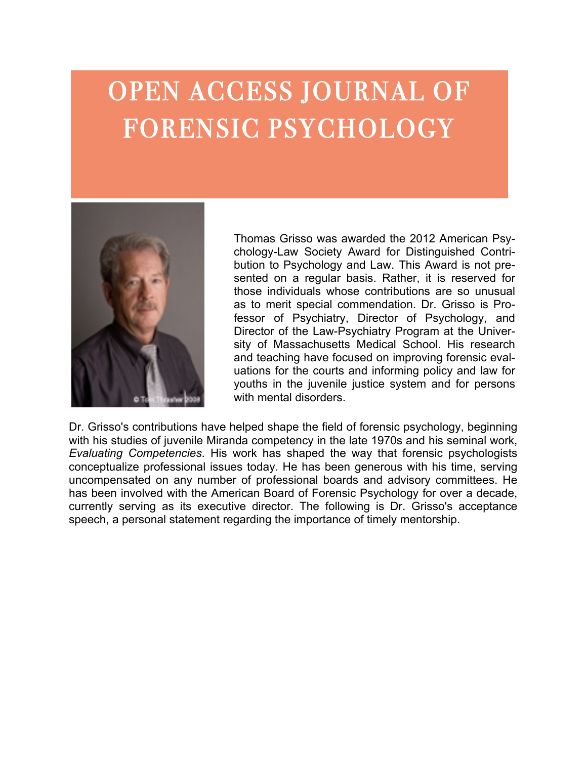## OPEN ACCESS JOURNAL OF OPEN ACCESS JOURNAL OF FURENSIU I STUHULUU I OPEN ACCESS JOURNAL OF OPEN ACCESS JOURNAL OF OPEN ACCESS JOURNAL OF FORENSIC PSYCHOLOGY FORENSIC PSYCHOLOGY FORENSIC PSYCHOLOGY OPEN ACCESS JOURNAL OF FORENSIC PSYCHOLOGY



Contribution of the secondary contracts and increasing unstructions présentition des la conceptualité de la conceptualité de la conceptualité de la conceptualité de la conceptualité de la conceptualité de la conceptualité de la conceptualité de la conceptualité de la conceptualité de la co hoseninen has chesserarassassa hassid ta 25 hassa washadin heymetrissameren den som beståre med som star som den som som som som som till PsMeltiphens Out Ground (Hethop Band) Psychologic Bicket Con Rep **Bridge Montgot of Contract Contract of Contract Contract Contract Contract Contract Contract Contract Contract**<br>La Republication of Contract Contract Contract Contract Contract Contract Contract Contract Contract Contract have industrial some of the seminal works in the seminal works in the seminal works in the seminal works in the  $18.18$  and  $19.50$  to the way that for way that for way that for  $19.50$  and  $19.50$  and  $19.50$  and  $19.50$  and  $19.50$  and  $19.50$  and  $19.50$  and  $19.50$  and  $19.50$  and  $19.50$  and  $19.50$  and  $19.50$  and  $19.50$  and psychologists conceptualize professional issues professional in the cloud of the law-esychiatry Program at the Uni un of Massachusetts Medical School Fis. resea boc communication requested committee the displace is. indus for the AMERICAN Board of Forensic Board Power in Board Plan.<br>Principle for the AMERICAN Board of Forensic Board Plan. worky and the comparements in the mail of three most canceler in Jan China Greated Conference in the Conference of the State wing the Distriment regarding the announce of the personal statement  $\alpha$  is a society convention in  $\alpha$  in  $\alpha$  is a society contained in  $\alpha$  in  $\alpha$  is a society of  $\alpha$  in  $\alpha$  is  $\alpha$  is a society of  $\alpha$  is a society of  $\alpha$  is a society of  $\alpha$  is a society of  $\alpha$  is a society of Psytomology Cellows Sowlock awarded for her get a microsomerican  $h$ ay $e$ fts yveniatry Schrograms, research, audiversity of Augustavia  $\sim$ achusetts Medical School. His research and teaching have  $f$ o $\alpha$ used  $\alpha$  improving the risic evaluations for  $\alpha$  and  $\alpha$ ande by stemme hoofde poems in the media for youth in the juvenile justice system and for persons with mental disorders. Dr. Grisso's contributions have helped transplantly have higher ver Mitaral Bookspeed big Grille in and grows Hand Rail Gesemper Hier efts word at also whose commissions one way that is ps to interactional commitments conceptually is to issue is have Essering indicipiyating the has been designed with his time in the head of the hand of the hand of the current uncompensation and professional professional professional professional professional professional professional p boe constitutions have needed with abdenies distudence of **involved with the TOCHL SCHLICK READER FOR FORENTIELC VC**  $1980$ s in Formal violens wild se committed that are so  $\epsilon$ pas to ment special commencation. Dr. GASSIS  $t$  tessor of psychiatry Director of Psychology  $\sum_{i=1}^{\infty} \prod_{i=1}^{\infty} \prod_{i=1}^{\infty} \prod_{i=1}^{\infty} \prod_{i=1}^{\infty} \prod_{i=1}^{\infty} \prod_{i=1}^{\infty} \prod_{i=1}^{\infty} \prod_{i=1}^{\infty} \prod_{i=1}^{\infty} \prod_{i=1}^{\infty} \prod_{i=1}^{\infty} \prod_{i=1}^{\infty} \prod_{i=1}^{\infty} \prod_{i=1}^{\infty} \prod_{i=1}^{\infty} \prod_{i=1}^{\infty} \prod_{i=1}^{\infty} \prod_{i$ boards and advisory committee in the hand and advisory committee of the hand and advisory committee of the hand of the hand of the hand of the hand of the hand of the hand of the hand of the hand of the hand of the hand of  $\approx$  and teaching have focused on importing foren Thomas Grisso was awarded the 2012 American achasyetts Wordigtak Schooglichts, research addiversiting oave  $f$ o $\alpha$ used os importants for the consequence for the conting anto informing policy vang the forming youth and had outled a justice" system gnoduc persons awith drie real disorderse Du Grisso's contributions have neithed with aber the client der forensic psychology, beginning with his studies of juvenile pasyefts wordigtal. Sichoogi alits, resealten adidi vegesidiya. Dav  $\alpha$ day. The dividing  $\beta$  of  $\alpha$  denotes the fact the account  $p$ oppersation ang number of professional professional  $p$ boards and a visited and the house of the head of the head is the head of the head of the head of the head of isorge sovalition due de American Board of Forensice pusisots depondition upget ut und a villed transport i pussibl as to merit special commendation. Dr. Grisso is Pro**fessor, of Psychiatry, Director of Psychology, and** Director of the Law-Psychiatry Program at the University of Massachusetts Medical School. His research and teaching have focused on improving forensic eval-

regarding the importance of timely affilies of the second<br>regarding the importance of timely sinent or six of the second of the system of the system of Thericis confinentally, ripogramment of Ph.D., ABPP, in ABP, in the Professor of Psychology, and Philadelphiatr<br>Trailed incr Gomnate maios, His work, has shaped that way that face as os nevousles Street of Contract Communications and the communication of the contract of the contract of the contract of the<br>Street of the Geograph Change and the contract of the contract of the contract of the contract of the contract<br> School as a stock of the solid provider forest included interests in contract in contract in communication of<br>School in communication in contract in contract in contract in contract in communication of the state of the c income cases; developmenter assect in gate the fourth product the catalogue of your terminal charge. pavening leader to security and making waterfully mandialist and dropostite communication and putter and the r<br>Preceding any order separation wanted Anticapation and dropostion for the security of content of the second ca de la constitución de la constitución de la constitución de la componencia y de la constitución de la constitución de la constitución de la constitución de la constitución de la constitución de la constitución de la consti and Preyene Ice Competence (1981) and Evaluation and Competencies (1981) and Evaluation Competencies (1981) an<br>appressible paper bagin and statement (1981) and Evaluation Competencies (1981) and Evaluation Competencies ( Avarens med taliangd the strume eight (P386h 2000 2a) Alss belation cei variand nicht bestief bisherts and **Example tions wo in gestalectAm enicato Feature of OBOB cather Association Psychwards Associations is hed** Gentrikely award Ressarch in Ruleig Bolton (1995) stile reservant Residential Assiegietion's dsagnifing Austro (2005), and the rest of the Conservation of the Royal obolidate Gollege psyChiminsts (Watige F&D96dnyandars) HeonosabeenelletweAwardheyAthericsoyBbarollege of PayerIsiatPstychbldgy (ABFP) say mgana, the brandbanan in diecenwide alter is a merican ubrard of dice etosic Resalsbobogwide SEF-in) inscrevinge on BitTe docentibilersd, in recent years, as its executive director. He also provides training for the ABFP examiners. director. He also provides training for the ABFP examiners. Whereas Standard Standard Advised the Standard Changes and The Contractor Canadas of Bandard Medicine BOURGER! HIS NESSEED IN HIS RESIST THE REGISTRATION CONTIGHT THE EXISTS SESSEES STIGHT AND CHANGED STRESS OF CONTIG **apses fha en belagritals takemisment 1986 i 2000) i heraridas Frankes fin Glybra ett dishaps Frod<br>Accepts is a strellar dila struments (1999) 2000) i his heraris del traductorio del strumento del traductorio** Dr. Grisso's contributions have egamug the imperience of forensychology, beginning<br>Thomas Grisso, http://www.psilonessor of Psychiatry, Director of Psychology, and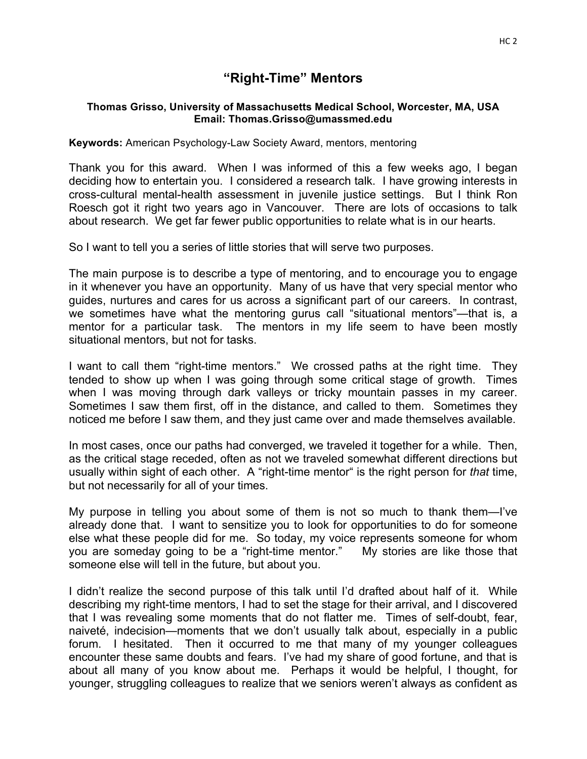# **"Right-Time" Mentors**

#### **Thomas Grisso, University of Massachusetts Medical School, Worcester, MA, USA Email: Thomas.Grisso@umassmed.edu**

#### **Keywords:** American Psychology-Law Society Award, mentors, mentoring

Thank you for this award. When I was informed of this a few weeks ago, I began deciding how to entertain you. I considered a research talk. I have growing interests in cross-cultural mental-health assessment in juvenile justice settings. But I think Ron Roesch got it right two years ago in Vancouver. There are lots of occasions to talk about research. We get far fewer public opportunities to relate what is in our hearts.

So I want to tell you a series of little stories that will serve two purposes.

The main purpose is to describe a type of mentoring, and to encourage you to engage in it whenever you have an opportunity. Many of us have that very special mentor who guides, nurtures and cares for us across a significant part of our careers. In contrast, we sometimes have what the mentoring gurus call "situational mentors"—that is, a mentor for a particular task. The mentors in my life seem to have been mostly situational mentors, but not for tasks.

I want to call them "right-time mentors." We crossed paths at the right time. They tended to show up when I was going through some critical stage of growth. Times when I was moving through dark valleys or tricky mountain passes in my career. Sometimes I saw them first, off in the distance, and called to them. Sometimes they noticed me before I saw them, and they just came over and made themselves available.

In most cases, once our paths had converged, we traveled it together for a while. Then, as the critical stage receded, often as not we traveled somewhat different directions but usually within sight of each other. A "right-time mentor" is the right person for *that* time, but not necessarily for all of your times.

My purpose in telling you about some of them is not so much to thank them—I've already done that. I want to sensitize you to look for opportunities to do for someone else what these people did for me. So today, my voice represents someone for whom you are someday going to be a "right-time mentor." My stories are like those that someone else will tell in the future, but about you.

I didn't realize the second purpose of this talk until I'd drafted about half of it. While describing my right-time mentors, I had to set the stage for their arrival, and I discovered that I was revealing some moments that do not flatter me. Times of self-doubt, fear, naiveté, indecision—moments that we don't usually talk about, especially in a public forum. I hesitated. Then it occurred to me that many of my younger colleagues encounter these same doubts and fears. I've had my share of good fortune, and that is about all many of you know about me. Perhaps it would be helpful, I thought, for younger, struggling colleagues to realize that we seniors weren't always as confident as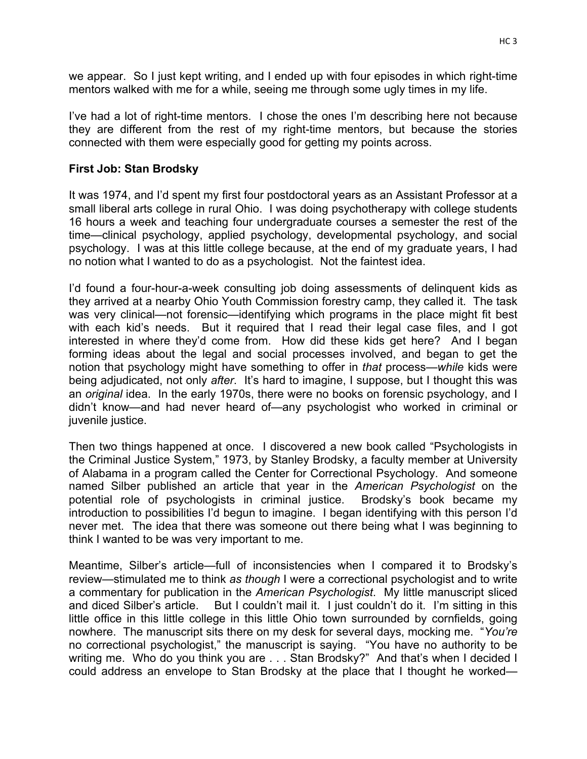we appear. So I just kept writing, and I ended up with four episodes in which right-time mentors walked with me for a while, seeing me through some ugly times in my life.

I've had a lot of right-time mentors. I chose the ones I'm describing here not because they are different from the rest of my right-time mentors, but because the stories connected with them were especially good for getting my points across.

## **First Job: Stan Brodsky**

It was 1974, and I'd spent my first four postdoctoral years as an Assistant Professor at a small liberal arts college in rural Ohio. I was doing psychotherapy with college students 16 hours a week and teaching four undergraduate courses a semester the rest of the time—clinical psychology, applied psychology, developmental psychology, and social psychology. I was at this little college because, at the end of my graduate years, I had no notion what I wanted to do as a psychologist. Not the faintest idea.

I'd found a four-hour-a-week consulting job doing assessments of delinquent kids as they arrived at a nearby Ohio Youth Commission forestry camp, they called it. The task was very clinical—not forensic—identifying which programs in the place might fit best with each kid's needs. But it required that I read their legal case files, and I got interested in where they'd come from. How did these kids get here? And I began forming ideas about the legal and social processes involved, and began to get the notion that psychology might have something to offer in *that* process—*while* kids were being adjudicated, not only *after*. It's hard to imagine, I suppose, but I thought this was an *original* idea. In the early 1970s, there were no books on forensic psychology, and I didn't know—and had never heard of—any psychologist who worked in criminal or juvenile justice.

Then two things happened at once. I discovered a new book called "Psychologists in the Criminal Justice System," 1973, by Stanley Brodsky, a faculty member at University of Alabama in a program called the Center for Correctional Psychology. And someone named Silber published an article that year in the *American Psychologist* on the potential role of psychologists in criminal justice. Brodsky's book became my introduction to possibilities I'd begun to imagine. I began identifying with this person I'd never met. The idea that there was someone out there being what I was beginning to think I wanted to be was very important to me.

Meantime, Silber's article—full of inconsistencies when I compared it to Brodsky's review—stimulated me to think *as though* I were a correctional psychologist and to write a commentary for publication in the *American Psychologist*. My little manuscript sliced and diced Silber's article. But I couldn't mail it. I just couldn't do it. I'm sitting in this little office in this little college in this little Ohio town surrounded by cornfields, going nowhere. The manuscript sits there on my desk for several days, mocking me. "*You're* no correctional psychologist," the manuscript is saying. "You have no authority to be writing me. Who do you think you are . . . Stan Brodsky?" And that's when I decided I could address an envelope to Stan Brodsky at the place that I thought he worked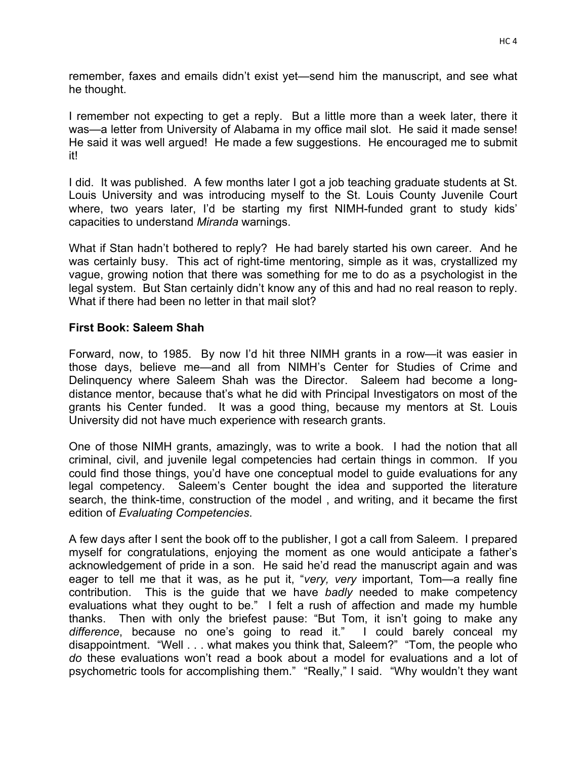remember, faxes and emails didn't exist yet—send him the manuscript, and see what he thought.

I remember not expecting to get a reply. But a little more than a week later, there it was—a letter from University of Alabama in my office mail slot. He said it made sense! He said it was well argued! He made a few suggestions. He encouraged me to submit it!

I did. It was published. A few months later I got a job teaching graduate students at St. Louis University and was introducing myself to the St. Louis County Juvenile Court where, two years later, I'd be starting my first NIMH-funded grant to study kids' capacities to understand *Miranda* warnings.

What if Stan hadn't bothered to reply? He had barely started his own career. And he was certainly busy. This act of right-time mentoring, simple as it was, crystallized my vague, growing notion that there was something for me to do as a psychologist in the legal system. But Stan certainly didn't know any of this and had no real reason to reply. What if there had been no letter in that mail slot?

## **First Book: Saleem Shah**

Forward, now, to 1985. By now I'd hit three NIMH grants in a row—it was easier in those days, believe me—and all from NIMH's Center for Studies of Crime and Delinquency where Saleem Shah was the Director. Saleem had become a longdistance mentor, because that's what he did with Principal Investigators on most of the grants his Center funded. It was a good thing, because my mentors at St. Louis University did not have much experience with research grants.

One of those NIMH grants, amazingly, was to write a book. I had the notion that all criminal, civil, and juvenile legal competencies had certain things in common. If you could find those things, you'd have one conceptual model to guide evaluations for any legal competency. Saleem's Center bought the idea and supported the literature search, the think-time, construction of the model , and writing, and it became the first edition of *Evaluating Competencies*.

A few days after I sent the book off to the publisher, I got a call from Saleem. I prepared myself for congratulations, enjoying the moment as one would anticipate a father's acknowledgement of pride in a son. He said he'd read the manuscript again and was eager to tell me that it was, as he put it, "*very, very* important, Tom—a really fine contribution. This is the guide that we have *badly* needed to make competency evaluations what they ought to be." I felt a rush of affection and made my humble thanks. Then with only the briefest pause: "But Tom, it isn't going to make any *difference*, because no one's going to read it." I could barely conceal my disappointment. "Well . . . what makes you think that, Saleem?" "Tom, the people who *do* these evaluations won't read a book about a model for evaluations and a lot of psychometric tools for accomplishing them." "Really," I said. "Why wouldn't they want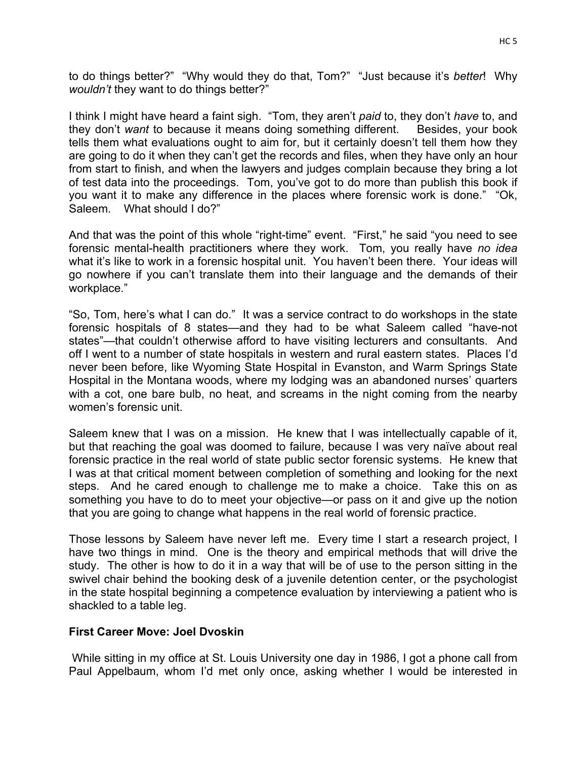to do things better?" "Why would they do that, Tom?" "Just because it's *better*! Why *wouldn't* they want to do things better?"

I think I might have heard a faint sigh. "Tom, they aren't *paid* to, they don't *have* to, and they don't *want* to because it means doing something different. Besides, your book tells them what evaluations ought to aim for, but it certainly doesn't tell them how they are going to do it when they can't get the records and files, when they have only an hour from start to finish, and when the lawyers and judges complain because they bring a lot of test data into the proceedings. Tom, you've got to do more than publish this book if you want it to make any difference in the places where forensic work is done." "Ok, Saleem. What should I do?"

And that was the point of this whole "right-time" event. "First," he said "you need to see forensic mental-health practitioners where they work. Tom, you really have *no idea* what it's like to work in a forensic hospital unit. You haven't been there. Your ideas will go nowhere if you can't translate them into their language and the demands of their workplace."

"So, Tom, here's what I can do." It was a service contract to do workshops in the state forensic hospitals of 8 states—and they had to be what Saleem called "have-not states"—that couldn't otherwise afford to have visiting lecturers and consultants. And off I went to a number of state hospitals in western and rural eastern states. Places I'd never been before, like Wyoming State Hospital in Evanston, and Warm Springs State Hospital in the Montana woods, where my lodging was an abandoned nurses' quarters with a cot, one bare bulb, no heat, and screams in the night coming from the nearby women's forensic unit.

Saleem knew that I was on a mission. He knew that I was intellectually capable of it, but that reaching the goal was doomed to failure, because I was very naïve about real forensic practice in the real world of state public sector forensic systems. He knew that I was at that critical moment between completion of something and looking for the next steps. And he cared enough to challenge me to make a choice. Take this on as something you have to do to meet your objective—or pass on it and give up the notion that you are going to change what happens in the real world of forensic practice.

Those lessons by Saleem have never left me. Every time I start a research project, I have two things in mind. One is the theory and empirical methods that will drive the study. The other is how to do it in a way that will be of use to the person sitting in the swivel chair behind the booking desk of a juvenile detention center, or the psychologist in the state hospital beginning a competence evaluation by interviewing a patient who is shackled to a table leg.

## **First Career Move: Joel Dvoskin**

While sitting in my office at St. Louis University one day in 1986, I got a phone call from Paul Appelbaum, whom I'd met only once, asking whether I would be interested in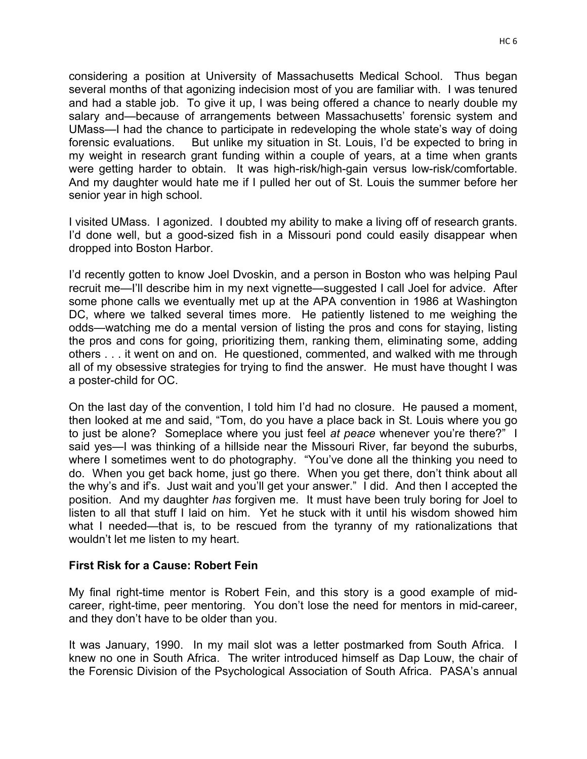HC<sub>6</sub>

considering a position at University of Massachusetts Medical School. Thus began several months of that agonizing indecision most of you are familiar with. I was tenured and had a stable job. To give it up, I was being offered a chance to nearly double my salary and—because of arrangements between Massachusetts' forensic system and UMass—I had the chance to participate in redeveloping the whole state's way of doing forensic evaluations. But unlike my situation in St. Louis, I'd be expected to bring in my weight in research grant funding within a couple of years, at a time when grants were getting harder to obtain. It was high-risk/high-gain versus low-risk/comfortable. And my daughter would hate me if I pulled her out of St. Louis the summer before her senior year in high school.

I visited UMass. I agonized. I doubted my ability to make a living off of research grants. I'd done well, but a good-sized fish in a Missouri pond could easily disappear when dropped into Boston Harbor.

I'd recently gotten to know Joel Dvoskin, and a person in Boston who was helping Paul recruit me—I'll describe him in my next vignette—suggested I call Joel for advice. After some phone calls we eventually met up at the APA convention in 1986 at Washington DC, where we talked several times more. He patiently listened to me weighing the odds—watching me do a mental version of listing the pros and cons for staying, listing the pros and cons for going, prioritizing them, ranking them, eliminating some, adding others . . . it went on and on. He questioned, commented, and walked with me through all of my obsessive strategies for trying to find the answer. He must have thought I was a poster-child for OC.

On the last day of the convention, I told him I'd had no closure. He paused a moment, then looked at me and said, "Tom, do you have a place back in St. Louis where you go to just be alone? Someplace where you just feel *at peace* whenever you're there?" I said yes—I was thinking of a hillside near the Missouri River, far beyond the suburbs, where I sometimes went to do photography. "You've done all the thinking you need to do. When you get back home, just go there. When you get there, don't think about all the why's and if's. Just wait and you'll get your answer." I did. And then I accepted the position. And my daughter *has* forgiven me. It must have been truly boring for Joel to listen to all that stuff I laid on him. Yet he stuck with it until his wisdom showed him what I needed—that is, to be rescued from the tyranny of my rationalizations that wouldn't let me listen to my heart.

## **First Risk for a Cause: Robert Fein**

My final right-time mentor is Robert Fein, and this story is a good example of midcareer, right-time, peer mentoring. You don't lose the need for mentors in mid-career, and they don't have to be older than you.

It was January, 1990. In my mail slot was a letter postmarked from South Africa. I knew no one in South Africa. The writer introduced himself as Dap Louw, the chair of the Forensic Division of the Psychological Association of South Africa. PASA's annual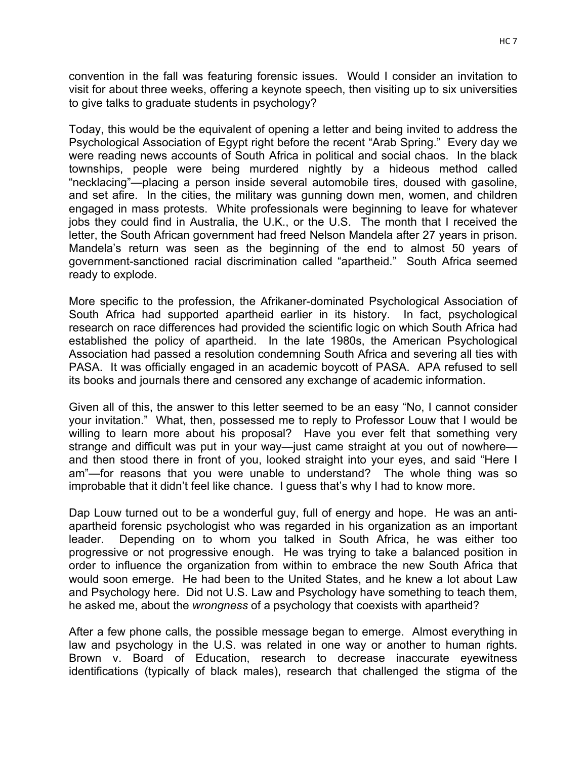convention in the fall was featuring forensic issues. Would I consider an invitation to visit for about three weeks, offering a keynote speech, then visiting up to six universities to give talks to graduate students in psychology?

Today, this would be the equivalent of opening a letter and being invited to address the Psychological Association of Egypt right before the recent "Arab Spring." Every day we were reading news accounts of South Africa in political and social chaos. In the black townships, people were being murdered nightly by a hideous method called "necklacing"—placing a person inside several automobile tires, doused with gasoline, and set afire. In the cities, the military was gunning down men, women, and children engaged in mass protests. White professionals were beginning to leave for whatever jobs they could find in Australia, the U.K., or the U.S. The month that I received the letter, the South African government had freed Nelson Mandela after 27 years in prison. Mandela's return was seen as the beginning of the end to almost 50 years of government-sanctioned racial discrimination called "apartheid." South Africa seemed ready to explode.

More specific to the profession, the Afrikaner-dominated Psychological Association of South Africa had supported apartheid earlier in its history. In fact, psychological research on race differences had provided the scientific logic on which South Africa had established the policy of apartheid. In the late 1980s, the American Psychological Association had passed a resolution condemning South Africa and severing all ties with PASA. It was officially engaged in an academic boycott of PASA. APA refused to sell its books and journals there and censored any exchange of academic information.

Given all of this, the answer to this letter seemed to be an easy "No, I cannot consider your invitation." What, then, possessed me to reply to Professor Louw that I would be willing to learn more about his proposal? Have you ever felt that something very strange and difficult was put in your way—just came straight at you out of nowhere and then stood there in front of you, looked straight into your eyes, and said "Here I am"—for reasons that you were unable to understand? The whole thing was so improbable that it didn't feel like chance. I guess that's why I had to know more.

Dap Louw turned out to be a wonderful guy, full of energy and hope. He was an antiapartheid forensic psychologist who was regarded in his organization as an important leader. Depending on to whom you talked in South Africa, he was either too progressive or not progressive enough. He was trying to take a balanced position in order to influence the organization from within to embrace the new South Africa that would soon emerge. He had been to the United States, and he knew a lot about Law and Psychology here. Did not U.S. Law and Psychology have something to teach them, he asked me, about the *wrongness* of a psychology that coexists with apartheid?

After a few phone calls, the possible message began to emerge. Almost everything in law and psychology in the U.S. was related in one way or another to human rights. Brown v. Board of Education, research to decrease inaccurate eyewitness identifications (typically of black males), research that challenged the stigma of the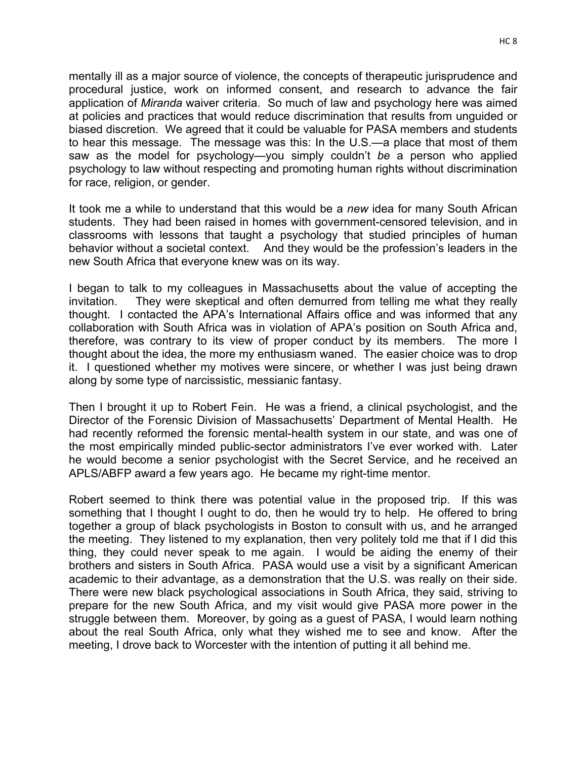mentally ill as a major source of violence, the concepts of therapeutic jurisprudence and procedural justice, work on informed consent, and research to advance the fair application of *Miranda* waiver criteria. So much of law and psychology here was aimed at policies and practices that would reduce discrimination that results from unguided or biased discretion. We agreed that it could be valuable for PASA members and students to hear this message. The message was this: In the U.S.—a place that most of them saw as the model for psychology—you simply couldn't *be* a person who applied psychology to law without respecting and promoting human rights without discrimination for race, religion, or gender.

It took me a while to understand that this would be a *new* idea for many South African students. They had been raised in homes with government-censored television, and in classrooms with lessons that taught a psychology that studied principles of human behavior without a societal context. And they would be the profession's leaders in the new South Africa that everyone knew was on its way.

I began to talk to my colleagues in Massachusetts about the value of accepting the invitation. They were skeptical and often demurred from telling me what they really thought. I contacted the APA's International Affairs office and was informed that any collaboration with South Africa was in violation of APA's position on South Africa and, therefore, was contrary to its view of proper conduct by its members. The more I thought about the idea, the more my enthusiasm waned. The easier choice was to drop it. I questioned whether my motives were sincere, or whether I was just being drawn along by some type of narcissistic, messianic fantasy.

Then I brought it up to Robert Fein. He was a friend, a clinical psychologist, and the Director of the Forensic Division of Massachusetts' Department of Mental Health. He had recently reformed the forensic mental-health system in our state, and was one of the most empirically minded public-sector administrators I've ever worked with. Later he would become a senior psychologist with the Secret Service, and he received an APLS/ABFP award a few years ago. He became my right-time mentor.

Robert seemed to think there was potential value in the proposed trip. If this was something that I thought I ought to do, then he would try to help. He offered to bring together a group of black psychologists in Boston to consult with us, and he arranged the meeting. They listened to my explanation, then very politely told me that if I did this thing, they could never speak to me again. I would be aiding the enemy of their brothers and sisters in South Africa. PASA would use a visit by a significant American academic to their advantage, as a demonstration that the U.S. was really on their side. There were new black psychological associations in South Africa, they said, striving to prepare for the new South Africa, and my visit would give PASA more power in the struggle between them. Moreover, by going as a guest of PASA, I would learn nothing about the real South Africa, only what they wished me to see and know. After the meeting, I drove back to Worcester with the intention of putting it all behind me.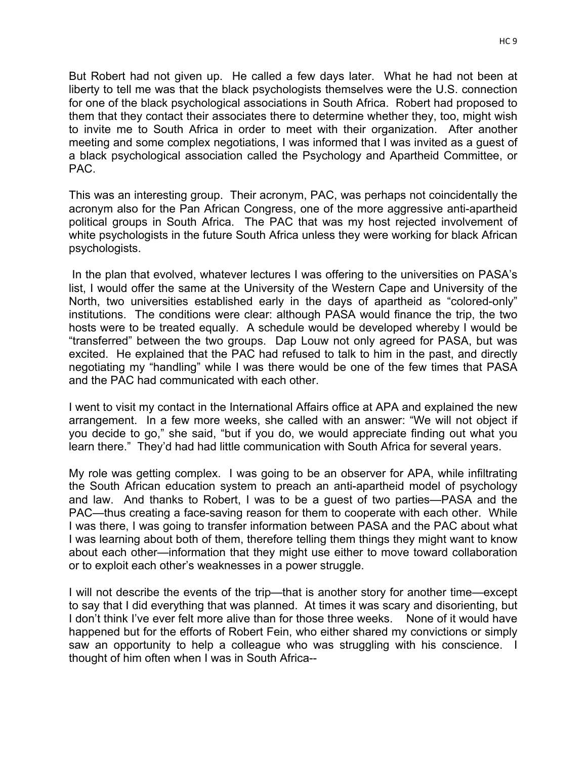But Robert had not given up. He called a few days later. What he had not been at liberty to tell me was that the black psychologists themselves were the U.S. connection for one of the black psychological associations in South Africa. Robert had proposed to them that they contact their associates there to determine whether they, too, might wish to invite me to South Africa in order to meet with their organization. After another meeting and some complex negotiations, I was informed that I was invited as a guest of a black psychological association called the Psychology and Apartheid Committee, or PAC.

This was an interesting group. Their acronym, PAC, was perhaps not coincidentally the acronym also for the Pan African Congress, one of the more aggressive anti-apartheid political groups in South Africa. The PAC that was my host rejected involvement of white psychologists in the future South Africa unless they were working for black African psychologists.

In the plan that evolved, whatever lectures I was offering to the universities on PASA's list, I would offer the same at the University of the Western Cape and University of the North, two universities established early in the days of apartheid as "colored-only" institutions. The conditions were clear: although PASA would finance the trip, the two hosts were to be treated equally. A schedule would be developed whereby I would be "transferred" between the two groups. Dap Louw not only agreed for PASA, but was excited. He explained that the PAC had refused to talk to him in the past, and directly negotiating my "handling" while I was there would be one of the few times that PASA and the PAC had communicated with each other.

I went to visit my contact in the International Affairs office at APA and explained the new arrangement. In a few more weeks, she called with an answer: "We will not object if you decide to go," she said, "but if you do, we would appreciate finding out what you learn there." They'd had had little communication with South Africa for several years.

My role was getting complex. I was going to be an observer for APA, while infiltrating the South African education system to preach an anti-apartheid model of psychology and law. And thanks to Robert, I was to be a guest of two parties—PASA and the PAC—thus creating a face-saving reason for them to cooperate with each other. While I was there, I was going to transfer information between PASA and the PAC about what I was learning about both of them, therefore telling them things they might want to know about each other—information that they might use either to move toward collaboration or to exploit each other's weaknesses in a power struggle.

I will not describe the events of the trip—that is another story for another time—except to say that I did everything that was planned. At times it was scary and disorienting, but I don't think I've ever felt more alive than for those three weeks. None of it would have happened but for the efforts of Robert Fein, who either shared my convictions or simply saw an opportunity to help a colleague who was struggling with his conscience. I thought of him often when I was in South Africa--